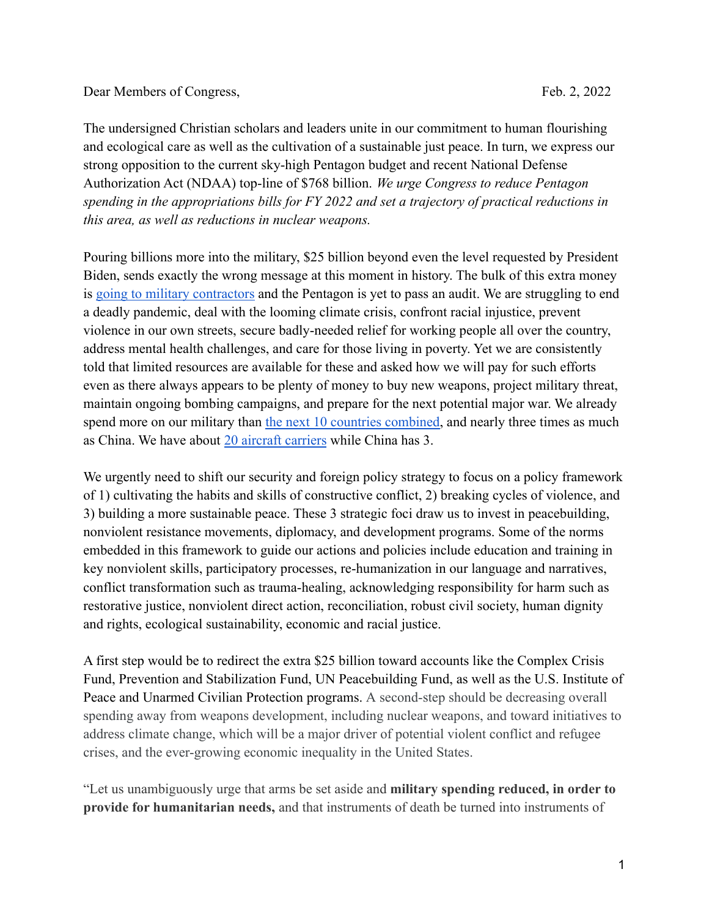## Dear Members of Congress, Feb. 2, 2022

The undersigned Christian scholars and leaders unite in our commitment to human flourishing and ecological care as well as the cultivation of a sustainable just peace. In turn, we express our strong opposition to the current sky-high Pentagon budget and recent National Defense Authorization Act (NDAA) top-line of \$768 billion. *We urge Congress to reduce Pentagon spending in the appropriations bills for FY 2022 and set a trajectory of practical reductions in this area, as well as reductions in nuclear weapons.*

Pouring billions more into the military, \$25 billion beyond even the level requested by President Biden, sends exactly the wrong message at this moment in history. The bulk of this extra money is [going to military contractors](https://thehill.com/policy/defense/570426-house-panel-approves-25b-defense-budget-boost) and the Pentagon is yet to pass an audit. We are struggling to end a deadly pandemic, deal with the looming climate crisis, confront racial injustice, prevent violence in our own streets, secure badly-needed relief for working people all over the country, address mental health challenges, and care for those living in poverty. Yet we are consistently told that limited resources are available for these and asked how we will pay for such efforts even as there always appears to be plenty of money to buy new weapons, project military threat, maintain ongoing bombing campaigns, and prepare for the next potential major war. We already spend more on our military than [the next 10 countries](https://www.nationalpriorities.org/blog/2020/04/30/us-spends-military-spending-next-10-countries-combined/) combined, and nearly three times as much as China. We have about [20 aircraft carriers](https://worldpopulationreview.com/country-rankings/aircraft-carriers-by-country) while China has 3.

We urgently need to shift our security and foreign policy strategy to focus on a policy framework of 1) cultivating the habits and skills of constructive conflict, 2) breaking cycles of violence, and 3) building a more sustainable peace. These 3 strategic foci draw us to invest in peacebuilding, nonviolent resistance movements, diplomacy, and development programs. Some of the norms embedded in this framework to guide our actions and policies include education and training in key nonviolent skills, participatory processes, re-humanization in our language and narratives, conflict transformation such as trauma-healing, acknowledging responsibility for harm such as restorative justice, nonviolent direct action, reconciliation, robust civil society, human dignity and rights, ecological sustainability, economic and racial justice.

A first step would be to redirect the extra \$25 billion toward accounts like the Complex Crisis Fund, Prevention and Stabilization Fund, UN Peacebuilding Fund, as well as the U.S. Institute of Peace and Unarmed Civilian Protection programs. A second-step should be decreasing overall spending away from weapons development, including nuclear weapons, and toward initiatives to address climate change, which will be a major driver of potential violent conflict and refugee crises, and the ever-growing economic inequality in the United States.

"Let us unambiguously urge that arms be set aside and **military spending reduced, in order to provide for humanitarian needs,** and that instruments of death be turned into instruments of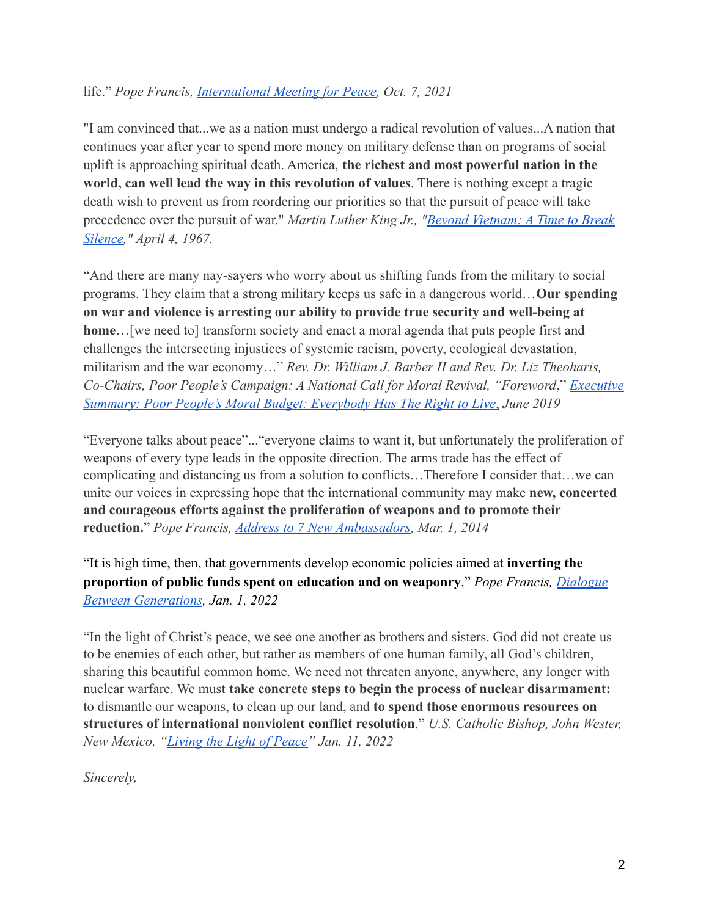## life." *Pope Francis, [International Meeting for Peace](https://www.vaticannews.va/en/pope/news/2021-10/pope-francis-egidio-35th-interreligious-peace-meeting.html?utm_source=newsletter&utm_medium=email&utm_campaign=NewsletterVN-EN), Oct. 7, 2021*

"I am convinced that...we as a nation must undergo a radical revolution of values...A nation that continues year after year to spend more money on military defense than on programs of social uplift is approaching spiritual death. America, **the richest and most powerful nation in the world, can well lead the way in this revolution of values**. There is nothing except a tragic death wish to prevent us from reordering our priorities so that the pursuit of peace will take precedence over the pursuit of war." *Martin Luther King Jr., "[Beyond Vietnam: A Time to Break](https://kinginstitute.stanford.edu/encyclopedia/beyond-vietnam) [Silence,](https://kinginstitute.stanford.edu/encyclopedia/beyond-vietnam)" April 4, 1967.*

"And there are many nay-sayers who worry about us shifting funds from the military to social programs. They claim that a strong military keeps us safe in a dangerous world…**Our spending on war and violence is arresting our ability to provide true security and well-being at home**…[we need to] transform society and enact a moral agenda that puts people first and challenges the intersecting injustices of systemic racism, poverty, ecological devastation, militarism and the war economy…" *Rev. Dr. William J. Barber II and Rev. Dr. Liz Theoharis, Co-Chairs, Poor People's Campaign: A National Call for Moral Revival, "Foreword*," *[Executive](https://www.poorpeoplescampaign.org/wp-content/uploads/2019/06/PPC-Moral-Budget-2019-report-Exec-Summary.pdf) Summary: [Poor People's Moral Budget: Everybody Has](https://www.poorpeoplescampaign.org/wp-content/uploads/2019/06/PPC-Moral-Budget-2019-report-Exec-Summary.pdf) The Right to Live*, *June 2019*

"Everyone talks about peace"..."everyone claims to want it, but unfortunately the proliferation of weapons of every type leads in the opposite direction. The arms trade has the effect of complicating and distancing us from a solution to conflicts…Therefore I consider that…we can unite our voices in expressing hope that the international community may make **new, concerted and courageous efforts against the proliferation of weapons and to promote their reduction.**" *Pope Francis, [Address to 7 New Ambassadors,](http://www.zenit.org/en/articles/pope-francis-address-to-seven-new-ambassadors-to-the-holy-see?utm_source=feedburner&utm_medium=feed&utm_campaign=Feed%3A+zenit%2Fenglish+%28ZENIT+English%29) Mar. 1, 2014*

"It is high time, then, that governments develop economic policies aimed at **inverting the proportion of public funds spent on education and on weaponry**." *Pope Francis, [Dialogue](https://www.vatican.va/content/francesco/en/messages/peace/documents/20211208-messaggio-55giornatamondiale-pace2022.html) [Between Generations,](https://www.vatican.va/content/francesco/en/messages/peace/documents/20211208-messaggio-55giornatamondiale-pace2022.html) Jan. 1, 2022*

"In the light of Christ's peace, we see one another as brothers and sisters. God did not create us to be enemies of each other, but rather as members of one human family, all God's children, sharing this beautiful common home. We need not threaten anyone, anywhere, any longer with nuclear warfare. We must **take concrete steps to begin the process of nuclear disarmament:** to dismantle our weapons, to clean up our land, and **to spend those enormous resources on structures of international nonviolent conflict resolution**." *U.S. Catholic Bishop, John Wester, New Mexico, ["Living the Light of Peace"](https://archdiosf.org/documents/2022/1/220111_ABW_Pastoral_Letter_LivingintheLightofChristsPeace_Official_Reduced.pdf) Jan. 11, 2022*

*Sincerely,*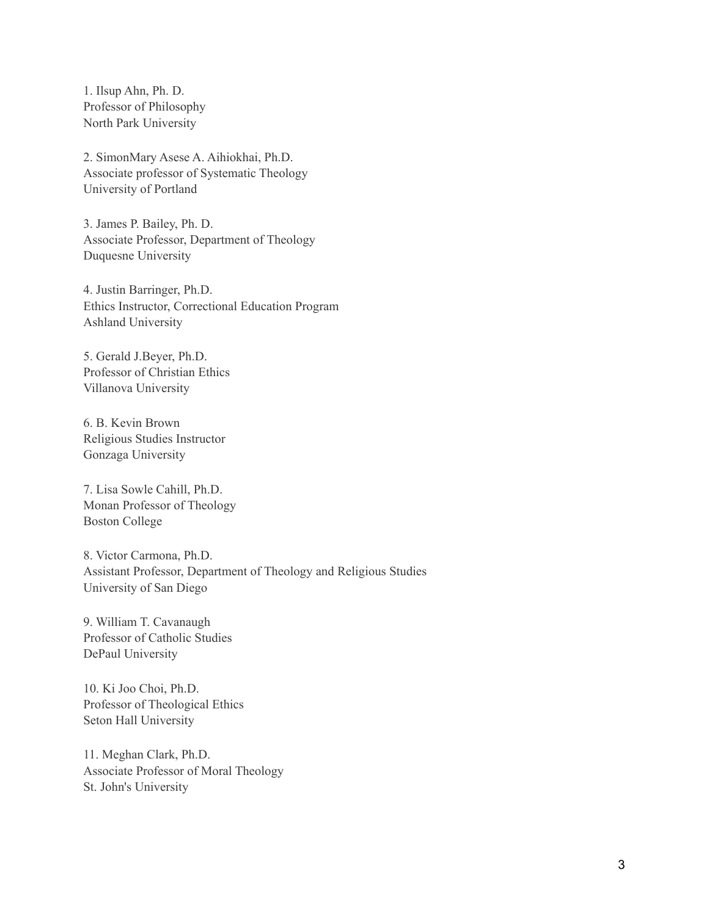1. Ilsup Ahn, Ph. D. Professor of Philosophy North Park University

2. SimonMary Asese A. Aihiokhai, Ph.D. Associate professor of Systematic Theology University of Portland

3. James P. Bailey, Ph. D. Associate Professor, Department of Theology Duquesne University

4. Justin Barringer, Ph.D. Ethics Instructor, Correctional Education Program Ashland University

5. Gerald J.Beyer, Ph.D. Professor of Christian Ethics Villanova University

6. B. Kevin Brown Religious Studies Instructor Gonzaga University

7. Lisa Sowle Cahill, Ph.D. Monan Professor of Theology Boston College

8. Victor Carmona, Ph.D. Assistant Professor, Department of Theology and Religious Studies University of San Diego

9. William T. Cavanaugh Professor of Catholic Studies DePaul University

10. Ki Joo Choi, Ph.D. Professor of Theological Ethics Seton Hall University

11. Meghan Clark, Ph.D. Associate Professor of Moral Theology St. John's University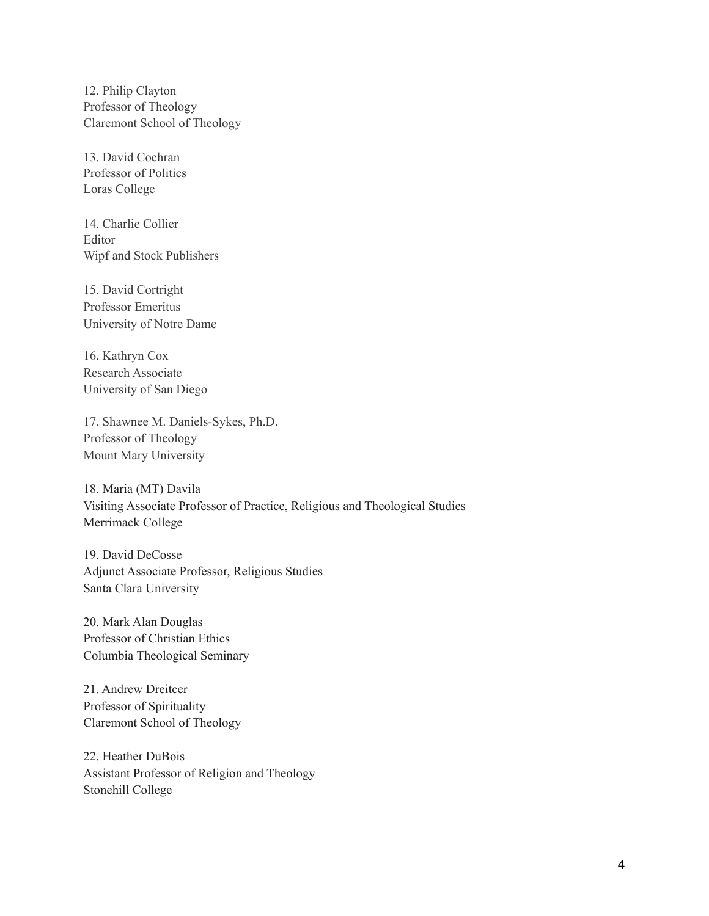12. Philip Clayton Professor of Theology Claremont School of Theology

13. David Cochran Professor of Politics Loras College

14. Charlie Collier Editor Wipf and Stock Publishers

15. David Cortright Professor Emeritus University of Notre Dame

16. Kathryn Cox Research Associate University of San Diego

17. Shawnee M. Daniels-Sykes, Ph.D. Professor of Theology Mount Mary University

18. Maria (MT) Davila Visiting Associate Professor of Practice, Religious and Theological Studies Merrimack College

19. David DeCosse Adjunct Associate Professor, Religious Studies Santa Clara University

20. Mark Alan Douglas Professor of Christian Ethics Columbia Theological Seminary

21. Andrew Dreitcer Professor of Spirituality Claremont School of Theology

22. Heather DuBois Assistant Professor of Religion and Theology Stonehill College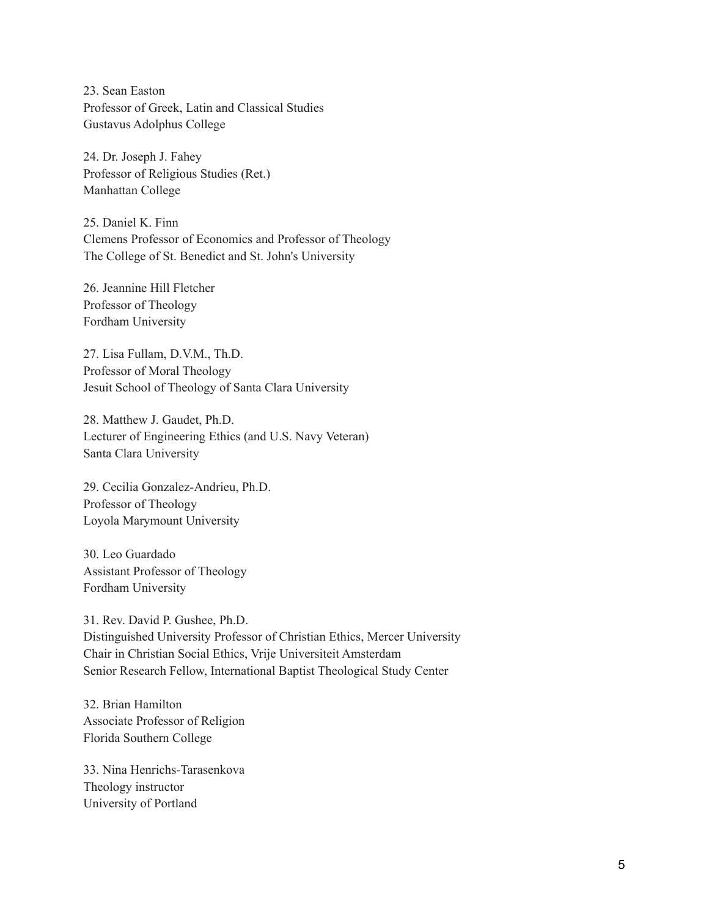23. Sean Easton Professor of Greek, Latin and Classical Studies Gustavus Adolphus College

24. Dr. Joseph J. Fahey Professor of Religious Studies (Ret.) Manhattan College

25. Daniel K. Finn Clemens Professor of Economics and Professor of Theology The College of St. Benedict and St. John's University

26. Jeannine Hill Fletcher Professor of Theology Fordham University

27. Lisa Fullam, D.V.M., Th.D. Professor of Moral Theology Jesuit School of Theology of Santa Clara University

28. Matthew J. Gaudet, Ph.D. Lecturer of Engineering Ethics (and U.S. Navy Veteran) Santa Clara University

29. Cecilia Gonzalez-Andrieu, Ph.D. Professor of Theology Loyola Marymount University

30. Leo Guardado Assistant Professor of Theology Fordham University

31. Rev. David P. Gushee, Ph.D. Distinguished University Professor of Christian Ethics, Mercer University Chair in Christian Social Ethics, Vrije Universiteit Amsterdam Senior Research Fellow, International Baptist Theological Study Center

32. Brian Hamilton Associate Professor of Religion Florida Southern College

33. Nina Henrichs-Tarasenkova Theology instructor University of Portland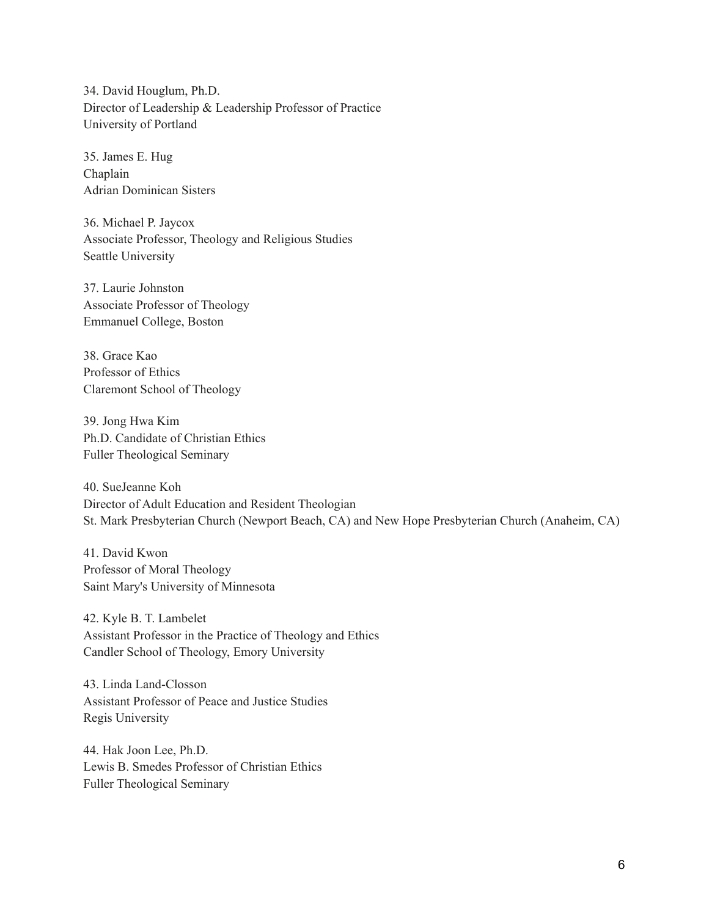34. David Houglum, Ph.D. Director of Leadership & Leadership Professor of Practice University of Portland

35. James E. Hug Chaplain Adrian Dominican Sisters

36. Michael P. Jaycox Associate Professor, Theology and Religious Studies Seattle University

37. Laurie Johnston Associate Professor of Theology Emmanuel College, Boston

38. Grace Kao Professor of Ethics Claremont School of Theology

39. Jong Hwa Kim Ph.D. Candidate of Christian Ethics Fuller Theological Seminary

40. SueJeanne Koh Director of Adult Education and Resident Theologian St. Mark Presbyterian Church (Newport Beach, CA) and New Hope Presbyterian Church (Anaheim, CA)

41. David Kwon Professor of Moral Theology Saint Mary's University of Minnesota

42. Kyle B. T. Lambelet Assistant Professor in the Practice of Theology and Ethics Candler School of Theology, Emory University

43. Linda Land-Closson Assistant Professor of Peace and Justice Studies Regis University

44. Hak Joon Lee, Ph.D. Lewis B. Smedes Professor of Christian Ethics Fuller Theological Seminary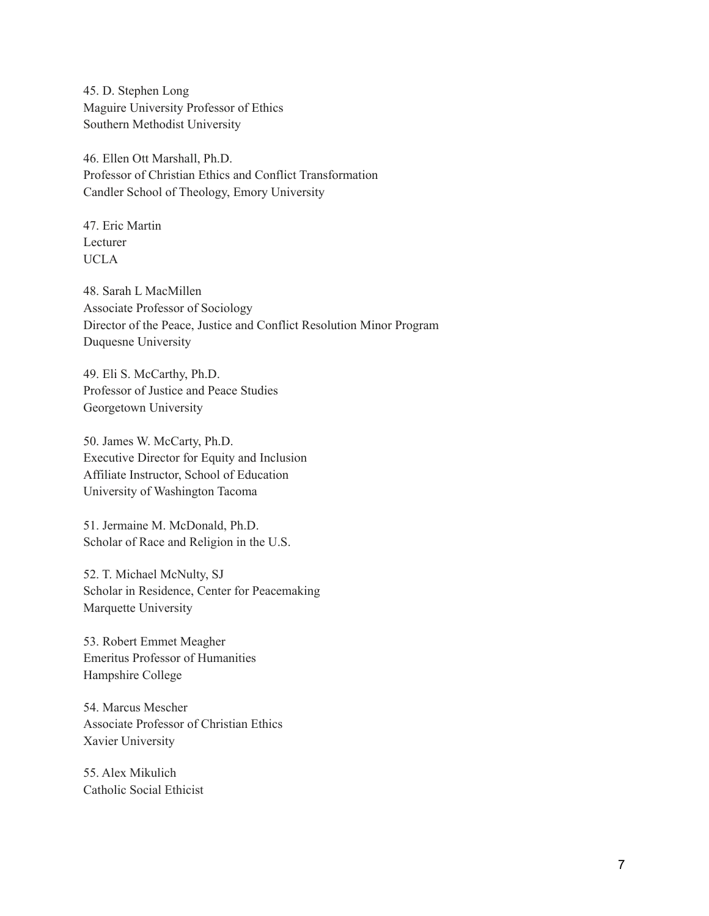45. D. Stephen Long Maguire University Professor of Ethics Southern Methodist University

46. Ellen Ott Marshall, Ph.D. Professor of Christian Ethics and Conflict Transformation Candler School of Theology, Emory University

47. Eric Martin Lecturer UCLA

48. Sarah L MacMillen Associate Professor of Sociology Director of the Peace, Justice and Conflict Resolution Minor Program Duquesne University

49. Eli S. McCarthy, Ph.D. Professor of Justice and Peace Studies Georgetown University

50. James W. McCarty, Ph.D. Executive Director for Equity and Inclusion Affiliate Instructor, School of Education University of Washington Tacoma

51. Jermaine M. McDonald, Ph.D. Scholar of Race and Religion in the U.S.

52. T. Michael McNulty, SJ Scholar in Residence, Center for Peacemaking Marquette University

53. Robert Emmet Meagher Emeritus Professor of Humanities Hampshire College

54. Marcus Mescher Associate Professor of Christian Ethics Xavier University

55. Alex Mikulich Catholic Social Ethicist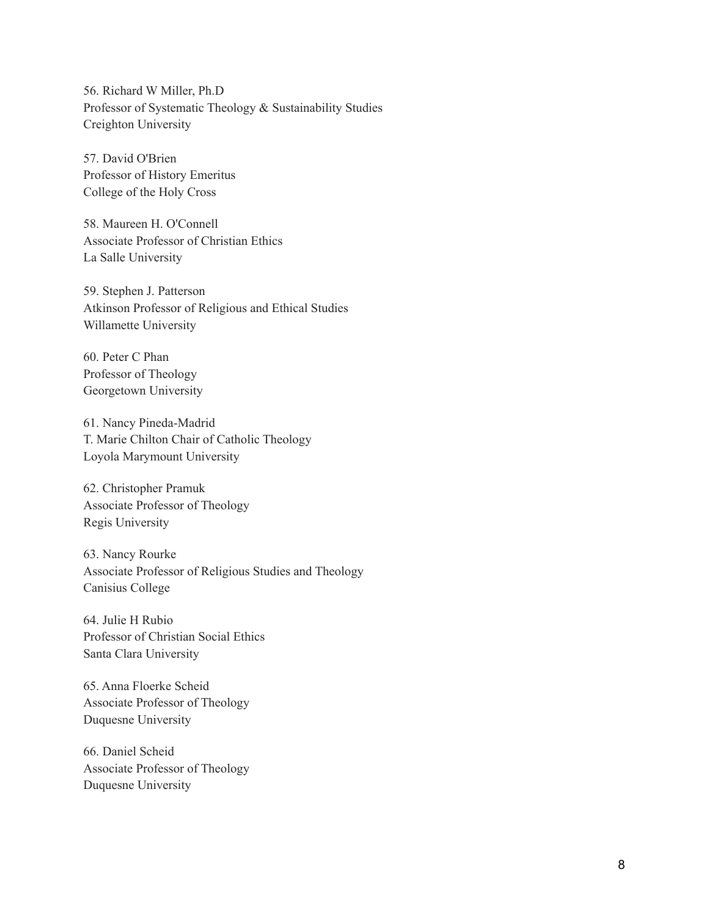56. Richard W Miller, Ph.D Professor of Systematic Theology & Sustainability Studies Creighton University

57. David O'Brien Professor of History Emeritus College of the Holy Cross

58. Maureen H. O'Connell Associate Professor of Christian Ethics La Salle University

59. Stephen J. Patterson Atkinson Professor of Religious and Ethical Studies Willamette University

60. Peter C Phan Professor of Theology Georgetown University

61. Nancy Pineda-Madrid T. Marie Chilton Chair of Catholic Theology Loyola Marymount University

62. Christopher Pramuk Associate Professor of Theology Regis University

63. Nancy Rourke Associate Professor of Religious Studies and Theology Canisius College

64. Julie H Rubio Professor of Christian Social Ethics Santa Clara University

65. Anna Floerke Scheid Associate Professor of Theology Duquesne University

66. Daniel Scheid Associate Professor of Theology Duquesne University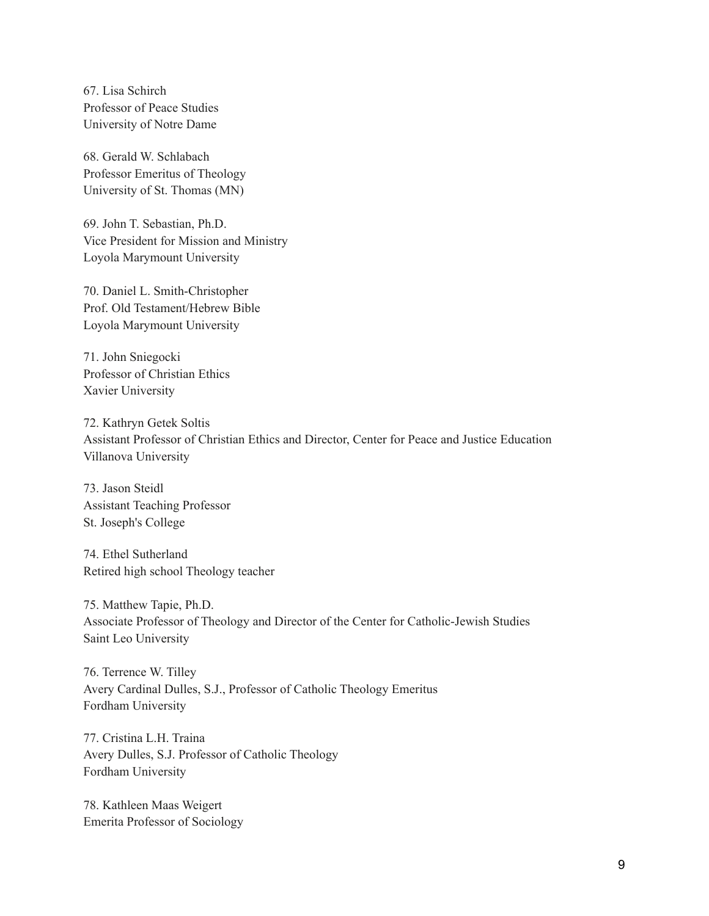67. Lisa Schirch Professor of Peace Studies University of Notre Dame

68. Gerald W. Schlabach Professor Emeritus of Theology University of St. Thomas (MN)

69. John T. Sebastian, Ph.D. Vice President for Mission and Ministry Loyola Marymount University

70. Daniel L. Smith-Christopher Prof. Old Testament/Hebrew Bible Loyola Marymount University

71. John Sniegocki Professor of Christian Ethics Xavier University

72. Kathryn Getek Soltis Assistant Professor of Christian Ethics and Director, Center for Peace and Justice Education Villanova University

73. Jason Steidl Assistant Teaching Professor St. Joseph's College

74. Ethel Sutherland Retired high school Theology teacher

75. Matthew Tapie, Ph.D. Associate Professor of Theology and Director of the Center for Catholic-Jewish Studies Saint Leo University

76. Terrence W. Tilley Avery Cardinal Dulles, S.J., Professor of Catholic Theology Emeritus Fordham University

77. Cristina L.H. Traina Avery Dulles, S.J. Professor of Catholic Theology Fordham University

78. Kathleen Maas Weigert Emerita Professor of Sociology